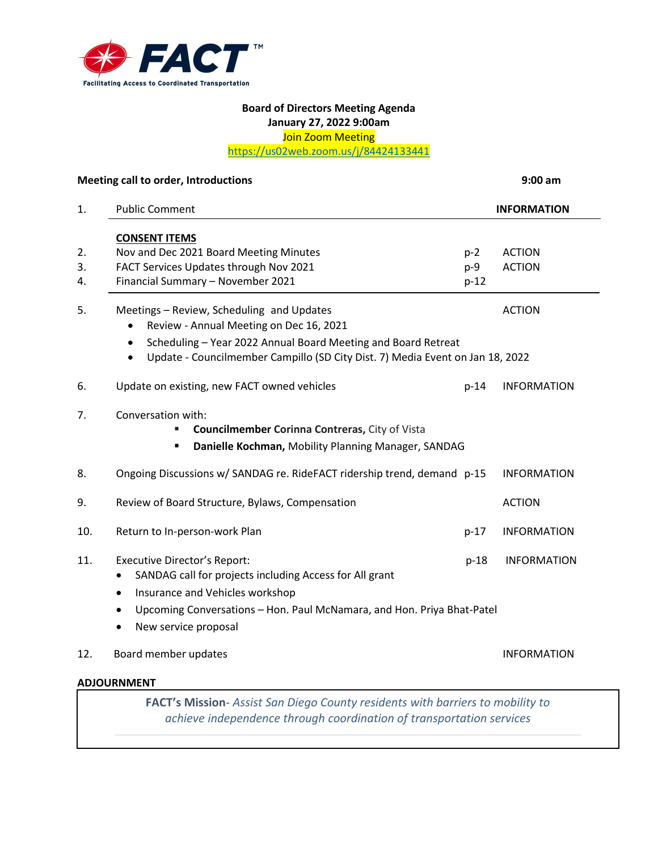

## **Board of Directors Meeting Agenda January 27, 2022 9:00am** Join Zoom Meeting

<https://us02web.zoom.us/j/84424133441>

|                | Meeting call to order, Introductions                                                                                                                                                                                                                             |                        | $9:00$ am                      |
|----------------|------------------------------------------------------------------------------------------------------------------------------------------------------------------------------------------------------------------------------------------------------------------|------------------------|--------------------------------|
| 1.             | <b>Public Comment</b>                                                                                                                                                                                                                                            |                        | <b>INFORMATION</b>             |
| 2.<br>3.<br>4. | <b>CONSENT ITEMS</b><br>Nov and Dec 2021 Board Meeting Minutes<br>FACT Services Updates through Nov 2021<br>Financial Summary - November 2021                                                                                                                    | $p-2$<br>p-9<br>$p-12$ | <b>ACTION</b><br><b>ACTION</b> |
| 5.             | Meetings - Review, Scheduling and Updates<br>Review - Annual Meeting on Dec 16, 2021<br>Scheduling - Year 2022 Annual Board Meeting and Board Retreat<br>$\bullet$<br>Update - Councilmember Campillo (SD City Dist. 7) Media Event on Jan 18, 2022<br>$\bullet$ |                        | <b>ACTION</b>                  |
| 6.             | Update on existing, new FACT owned vehicles                                                                                                                                                                                                                      | $p-14$                 | <b>INFORMATION</b>             |
| 7.             | Conversation with:<br><b>Councilmember Corinna Contreras, City of Vista</b><br>Danielle Kochman, Mobility Planning Manager, SANDAG<br>٠                                                                                                                          |                        |                                |
| 8.             | Ongoing Discussions w/ SANDAG re. RideFACT ridership trend, demand p-15                                                                                                                                                                                          |                        | <b>INFORMATION</b>             |
| 9.             | Review of Board Structure, Bylaws, Compensation                                                                                                                                                                                                                  |                        | <b>ACTION</b>                  |
| 10.            | Return to In-person-work Plan                                                                                                                                                                                                                                    | $p-17$                 | <b>INFORMATION</b>             |
| 11.            | <b>Executive Director's Report:</b><br>SANDAG call for projects including Access for All grant<br>Insurance and Vehicles workshop<br>$\bullet$<br>Upcoming Conversations - Hon. Paul McNamara, and Hon. Priya Bhat-Patel<br>$\bullet$                            | $p-18$                 | <b>INFORMATION</b>             |
|                | New service proposal                                                                                                                                                                                                                                             |                        |                                |
| 12.            | Board member updates                                                                                                                                                                                                                                             |                        | <b>INFORMATION</b>             |
|                | <b>ADJOURNMENT</b>                                                                                                                                                                                                                                               |                        |                                |
|                | FACT's Mission- Assist San Diego County residents with barriers to mobility to                                                                                                                                                                                   |                        |                                |

*achieve independence through coordination of transportation services*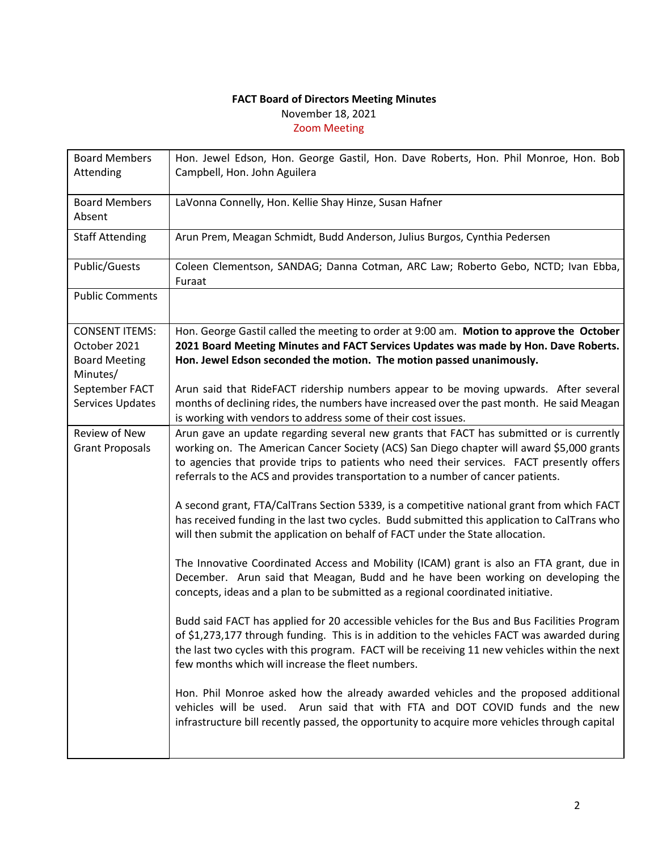## **FACT Board of Directors Meeting Minutes** November 18, 2021 Zoom Meeting

| <b>Board Members</b><br>Attending                                         | Hon. Jewel Edson, Hon. George Gastil, Hon. Dave Roberts, Hon. Phil Monroe, Hon. Bob<br>Campbell, Hon. John Aguilera                                                                                                                                                                                                                                                    |
|---------------------------------------------------------------------------|------------------------------------------------------------------------------------------------------------------------------------------------------------------------------------------------------------------------------------------------------------------------------------------------------------------------------------------------------------------------|
| <b>Board Members</b><br>Absent                                            | LaVonna Connelly, Hon. Kellie Shay Hinze, Susan Hafner                                                                                                                                                                                                                                                                                                                 |
| <b>Staff Attending</b>                                                    | Arun Prem, Meagan Schmidt, Budd Anderson, Julius Burgos, Cynthia Pedersen                                                                                                                                                                                                                                                                                              |
| Public/Guests                                                             | Coleen Clementson, SANDAG; Danna Cotman, ARC Law; Roberto Gebo, NCTD; Ivan Ebba,<br>Furaat                                                                                                                                                                                                                                                                             |
| <b>Public Comments</b>                                                    |                                                                                                                                                                                                                                                                                                                                                                        |
| <b>CONSENT ITEMS:</b><br>October 2021<br><b>Board Meeting</b><br>Minutes/ | Hon. George Gastil called the meeting to order at 9:00 am. Motion to approve the October<br>2021 Board Meeting Minutes and FACT Services Updates was made by Hon. Dave Roberts.<br>Hon. Jewel Edson seconded the motion. The motion passed unanimously.                                                                                                                |
| September FACT<br>Services Updates                                        | Arun said that RideFACT ridership numbers appear to be moving upwards. After several<br>months of declining rides, the numbers have increased over the past month. He said Meagan<br>is working with vendors to address some of their cost issues.                                                                                                                     |
| Review of New<br><b>Grant Proposals</b>                                   | Arun gave an update regarding several new grants that FACT has submitted or is currently<br>working on. The American Cancer Society (ACS) San Diego chapter will award \$5,000 grants<br>to agencies that provide trips to patients who need their services. FACT presently offers<br>referrals to the ACS and provides transportation to a number of cancer patients. |
|                                                                           | A second grant, FTA/CalTrans Section 5339, is a competitive national grant from which FACT<br>has received funding in the last two cycles. Budd submitted this application to CalTrans who<br>will then submit the application on behalf of FACT under the State allocation.                                                                                           |
|                                                                           | The Innovative Coordinated Access and Mobility (ICAM) grant is also an FTA grant, due in<br>December. Arun said that Meagan, Budd and he have been working on developing the<br>concepts, ideas and a plan to be submitted as a regional coordinated initiative.                                                                                                       |
|                                                                           | Budd said FACT has applied for 20 accessible vehicles for the Bus and Bus Facilities Program<br>of \$1,273,177 through funding. This is in addition to the vehicles FACT was awarded during<br>the last two cycles with this program. FACT will be receiving 11 new vehicles within the next<br>few months which will increase the fleet numbers.                      |
|                                                                           | Hon. Phil Monroe asked how the already awarded vehicles and the proposed additional<br>vehicles will be used. Arun said that with FTA and DOT COVID funds and the new<br>infrastructure bill recently passed, the opportunity to acquire more vehicles through capital                                                                                                 |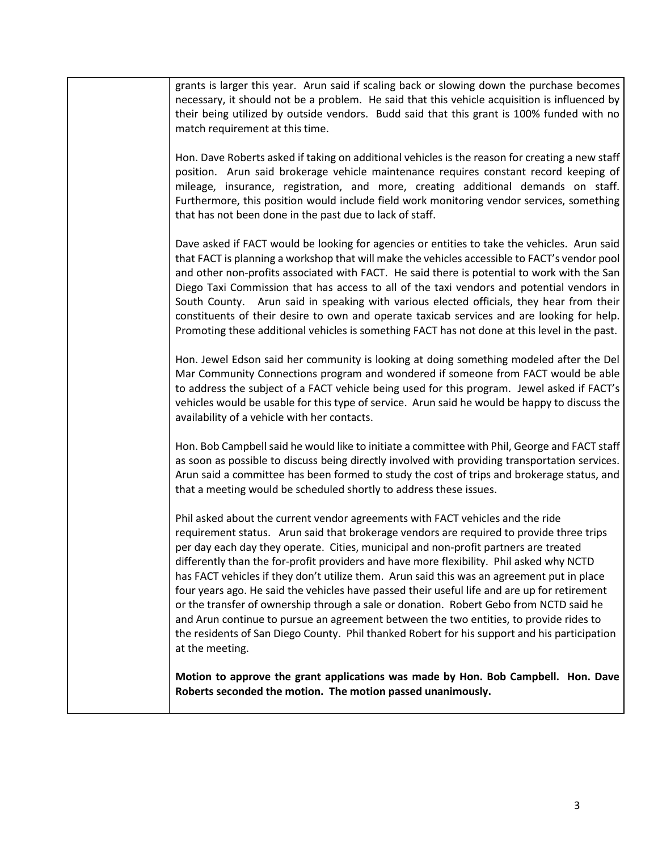| grants is larger this year. Arun said if scaling back or slowing down the purchase becomes<br>necessary, it should not be a problem. He said that this vehicle acquisition is influenced by<br>their being utilized by outside vendors. Budd said that this grant is 100% funded with no<br>match requirement at this time.                                                                                                                                                                                                                                                                                                                                                                                                                                                                                                                                         |
|---------------------------------------------------------------------------------------------------------------------------------------------------------------------------------------------------------------------------------------------------------------------------------------------------------------------------------------------------------------------------------------------------------------------------------------------------------------------------------------------------------------------------------------------------------------------------------------------------------------------------------------------------------------------------------------------------------------------------------------------------------------------------------------------------------------------------------------------------------------------|
| Hon. Dave Roberts asked if taking on additional vehicles is the reason for creating a new staff<br>position. Arun said brokerage vehicle maintenance requires constant record keeping of<br>mileage, insurance, registration, and more, creating additional demands on staff.<br>Furthermore, this position would include field work monitoring vendor services, something<br>that has not been done in the past due to lack of staff.                                                                                                                                                                                                                                                                                                                                                                                                                              |
| Dave asked if FACT would be looking for agencies or entities to take the vehicles. Arun said<br>that FACT is planning a workshop that will make the vehicles accessible to FACT's vendor pool<br>and other non-profits associated with FACT. He said there is potential to work with the San<br>Diego Taxi Commission that has access to all of the taxi vendors and potential vendors in<br>South County. Arun said in speaking with various elected officials, they hear from their<br>constituents of their desire to own and operate taxicab services and are looking for help.<br>Promoting these additional vehicles is something FACT has not done at this level in the past.                                                                                                                                                                                |
| Hon. Jewel Edson said her community is looking at doing something modeled after the Del<br>Mar Community Connections program and wondered if someone from FACT would be able<br>to address the subject of a FACT vehicle being used for this program. Jewel asked if FACT's<br>vehicles would be usable for this type of service. Arun said he would be happy to discuss the<br>availability of a vehicle with her contacts.                                                                                                                                                                                                                                                                                                                                                                                                                                        |
| Hon. Bob Campbell said he would like to initiate a committee with Phil, George and FACT staff<br>as soon as possible to discuss being directly involved with providing transportation services.<br>Arun said a committee has been formed to study the cost of trips and brokerage status, and<br>that a meeting would be scheduled shortly to address these issues.                                                                                                                                                                                                                                                                                                                                                                                                                                                                                                 |
| Phil asked about the current vendor agreements with FACT vehicles and the ride<br>requirement status. Arun said that brokerage vendors are required to provide three trips<br>per day each day they operate. Cities, municipal and non-profit partners are treated<br>differently than the for-profit providers and have more flexibility. Phil asked why NCTD<br>has FACT vehicles if they don't utilize them. Arun said this was an agreement put in place<br>four years ago. He said the vehicles have passed their useful life and are up for retirement<br>or the transfer of ownership through a sale or donation. Robert Gebo from NCTD said he<br>and Arun continue to pursue an agreement between the two entities, to provide rides to<br>the residents of San Diego County. Phil thanked Robert for his support and his participation<br>at the meeting. |
| Motion to approve the grant applications was made by Hon. Bob Campbell. Hon. Dave<br>Roberts seconded the motion. The motion passed unanimously.                                                                                                                                                                                                                                                                                                                                                                                                                                                                                                                                                                                                                                                                                                                    |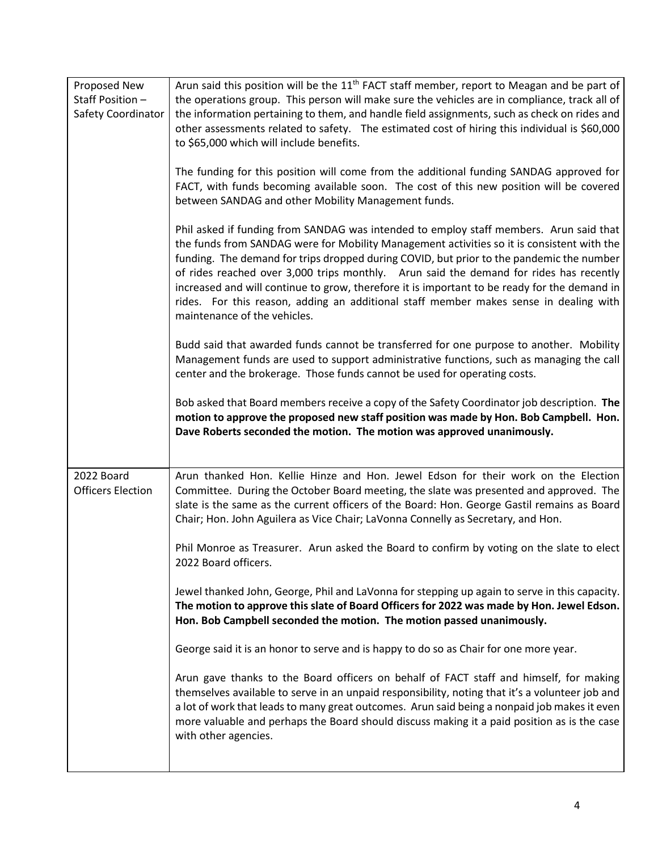| Proposed New<br>Staff Position -<br><b>Safety Coordinator</b> | Arun said this position will be the 11 <sup>th</sup> FACT staff member, report to Meagan and be part of<br>the operations group. This person will make sure the vehicles are in compliance, track all of<br>the information pertaining to them, and handle field assignments, such as check on rides and<br>other assessments related to safety. The estimated cost of hiring this individual is \$60,000<br>to \$65,000 which will include benefits.<br>The funding for this position will come from the additional funding SANDAG approved for<br>FACT, with funds becoming available soon. The cost of this new position will be covered<br>between SANDAG and other Mobility Management funds.<br>Phil asked if funding from SANDAG was intended to employ staff members. Arun said that<br>the funds from SANDAG were for Mobility Management activities so it is consistent with the<br>funding. The demand for trips dropped during COVID, but prior to the pandemic the number<br>of rides reached over 3,000 trips monthly. Arun said the demand for rides has recently<br>increased and will continue to grow, therefore it is important to be ready for the demand in<br>rides. For this reason, adding an additional staff member makes sense in dealing with |
|---------------------------------------------------------------|---------------------------------------------------------------------------------------------------------------------------------------------------------------------------------------------------------------------------------------------------------------------------------------------------------------------------------------------------------------------------------------------------------------------------------------------------------------------------------------------------------------------------------------------------------------------------------------------------------------------------------------------------------------------------------------------------------------------------------------------------------------------------------------------------------------------------------------------------------------------------------------------------------------------------------------------------------------------------------------------------------------------------------------------------------------------------------------------------------------------------------------------------------------------------------------------------------------------------------------------------------------------------|
|                                                               | maintenance of the vehicles.<br>Budd said that awarded funds cannot be transferred for one purpose to another. Mobility<br>Management funds are used to support administrative functions, such as managing the call<br>center and the brokerage. Those funds cannot be used for operating costs.<br>Bob asked that Board members receive a copy of the Safety Coordinator job description. The<br>motion to approve the proposed new staff position was made by Hon. Bob Campbell. Hon.<br>Dave Roberts seconded the motion. The motion was approved unanimously.                                                                                                                                                                                                                                                                                                                                                                                                                                                                                                                                                                                                                                                                                                         |
| 2022 Board<br><b>Officers Election</b>                        | Arun thanked Hon. Kellie Hinze and Hon. Jewel Edson for their work on the Election<br>Committee. During the October Board meeting, the slate was presented and approved. The<br>slate is the same as the current officers of the Board: Hon. George Gastil remains as Board<br>Chair; Hon. John Aguilera as Vice Chair; LaVonna Connelly as Secretary, and Hon.<br>Phil Monroe as Treasurer. Arun asked the Board to confirm by voting on the slate to elect<br>2022 Board officers.<br>Jewel thanked John, George, Phil and LaVonna for stepping up again to serve in this capacity.<br>The motion to approve this slate of Board Officers for 2022 was made by Hon. Jewel Edson.<br>Hon. Bob Campbell seconded the motion. The motion passed unanimously.<br>George said it is an honor to serve and is happy to do so as Chair for one more year.                                                                                                                                                                                                                                                                                                                                                                                                                      |
|                                                               | Arun gave thanks to the Board officers on behalf of FACT staff and himself, for making<br>themselves available to serve in an unpaid responsibility, noting that it's a volunteer job and<br>a lot of work that leads to many great outcomes. Arun said being a nonpaid job makes it even<br>more valuable and perhaps the Board should discuss making it a paid position as is the case<br>with other agencies.                                                                                                                                                                                                                                                                                                                                                                                                                                                                                                                                                                                                                                                                                                                                                                                                                                                          |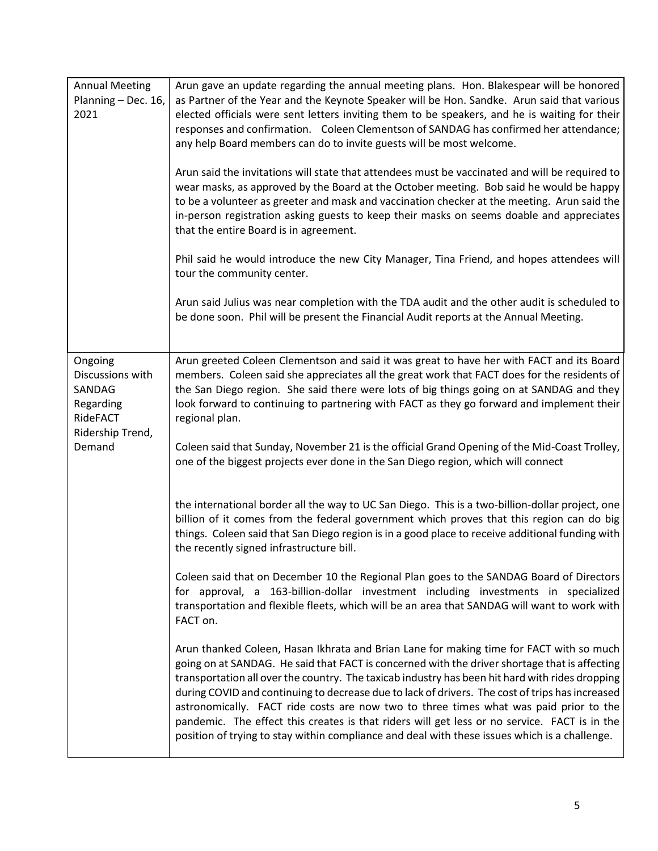| <b>Annual Meeting</b><br>Planning - Dec. 16,<br>2021                                         | Arun gave an update regarding the annual meeting plans. Hon. Blakespear will be honored<br>as Partner of the Year and the Keynote Speaker will be Hon. Sandke. Arun said that various<br>elected officials were sent letters inviting them to be speakers, and he is waiting for their<br>responses and confirmation. Coleen Clementson of SANDAG has confirmed her attendance;<br>any help Board members can do to invite guests will be most welcome.                                                                                                                                                                                                                                  |  |  |  |  |  |
|----------------------------------------------------------------------------------------------|------------------------------------------------------------------------------------------------------------------------------------------------------------------------------------------------------------------------------------------------------------------------------------------------------------------------------------------------------------------------------------------------------------------------------------------------------------------------------------------------------------------------------------------------------------------------------------------------------------------------------------------------------------------------------------------|--|--|--|--|--|
|                                                                                              | Arun said the invitations will state that attendees must be vaccinated and will be required to<br>wear masks, as approved by the Board at the October meeting. Bob said he would be happy<br>to be a volunteer as greeter and mask and vaccination checker at the meeting. Arun said the<br>in-person registration asking guests to keep their masks on seems doable and appreciates<br>that the entire Board is in agreement.                                                                                                                                                                                                                                                           |  |  |  |  |  |
|                                                                                              | Phil said he would introduce the new City Manager, Tina Friend, and hopes attendees will<br>tour the community center.                                                                                                                                                                                                                                                                                                                                                                                                                                                                                                                                                                   |  |  |  |  |  |
|                                                                                              | Arun said Julius was near completion with the TDA audit and the other audit is scheduled to<br>be done soon. Phil will be present the Financial Audit reports at the Annual Meeting.                                                                                                                                                                                                                                                                                                                                                                                                                                                                                                     |  |  |  |  |  |
| Ongoing<br>Discussions with<br>SANDAG<br>Regarding<br>RideFACT<br>Ridership Trend,<br>Demand | Arun greeted Coleen Clementson and said it was great to have her with FACT and its Board<br>members. Coleen said she appreciates all the great work that FACT does for the residents of<br>the San Diego region. She said there were lots of big things going on at SANDAG and they<br>look forward to continuing to partnering with FACT as they go forward and implement their<br>regional plan.                                                                                                                                                                                                                                                                                       |  |  |  |  |  |
|                                                                                              | Coleen said that Sunday, November 21 is the official Grand Opening of the Mid-Coast Trolley,<br>one of the biggest projects ever done in the San Diego region, which will connect                                                                                                                                                                                                                                                                                                                                                                                                                                                                                                        |  |  |  |  |  |
|                                                                                              | the international border all the way to UC San Diego. This is a two-billion-dollar project, one<br>billion of it comes from the federal government which proves that this region can do big<br>things. Coleen said that San Diego region is in a good place to receive additional funding with<br>the recently signed infrastructure bill.                                                                                                                                                                                                                                                                                                                                               |  |  |  |  |  |
|                                                                                              | Coleen said that on December 10 the Regional Plan goes to the SANDAG Board of Directors<br>for approval, a 163-billion-dollar investment including investments in specialized<br>transportation and flexible fleets, which will be an area that SANDAG will want to work with<br>FACT on.                                                                                                                                                                                                                                                                                                                                                                                                |  |  |  |  |  |
|                                                                                              | Arun thanked Coleen, Hasan Ikhrata and Brian Lane for making time for FACT with so much<br>going on at SANDAG. He said that FACT is concerned with the driver shortage that is affecting<br>transportation all over the country. The taxicab industry has been hit hard with rides dropping<br>during COVID and continuing to decrease due to lack of drivers. The cost of trips has increased<br>astronomically. FACT ride costs are now two to three times what was paid prior to the<br>pandemic. The effect this creates is that riders will get less or no service. FACT is in the<br>position of trying to stay within compliance and deal with these issues which is a challenge. |  |  |  |  |  |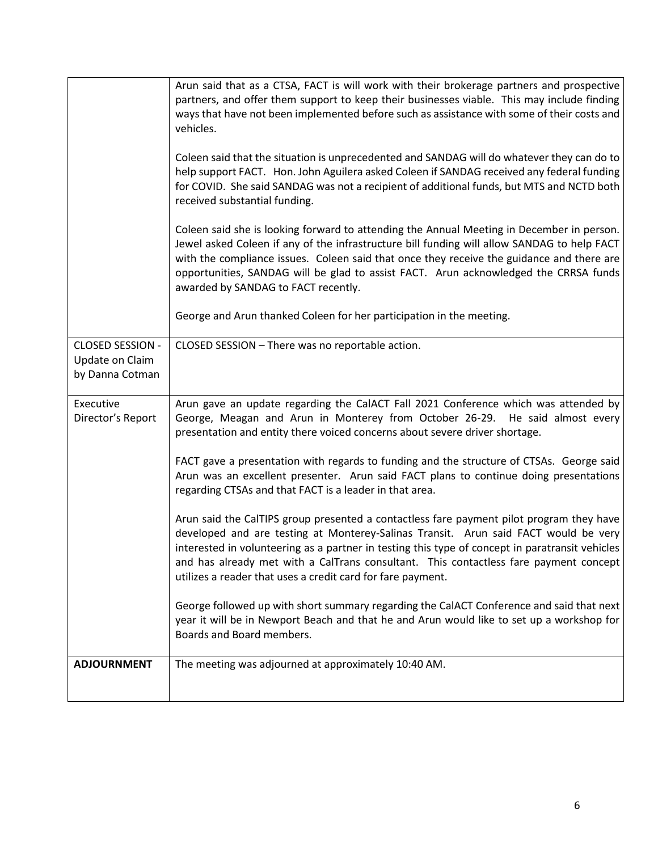|                                                        | Arun said that as a CTSA, FACT is will work with their brokerage partners and prospective<br>partners, and offer them support to keep their businesses viable. This may include finding<br>ways that have not been implemented before such as assistance with some of their costs and<br>vehicles.<br>Coleen said that the situation is unprecedented and SANDAG will do whatever they can do to<br>help support FACT. Hon. John Aguilera asked Coleen if SANDAG received any federal funding<br>for COVID. She said SANDAG was not a recipient of additional funds, but MTS and NCTD both<br>received substantial funding.<br>Coleen said she is looking forward to attending the Annual Meeting in December in person.<br>Jewel asked Coleen if any of the infrastructure bill funding will allow SANDAG to help FACT<br>with the compliance issues. Coleen said that once they receive the guidance and there are<br>opportunities, SANDAG will be glad to assist FACT. Arun acknowledged the CRRSA funds<br>awarded by SANDAG to FACT recently. |
|--------------------------------------------------------|-----------------------------------------------------------------------------------------------------------------------------------------------------------------------------------------------------------------------------------------------------------------------------------------------------------------------------------------------------------------------------------------------------------------------------------------------------------------------------------------------------------------------------------------------------------------------------------------------------------------------------------------------------------------------------------------------------------------------------------------------------------------------------------------------------------------------------------------------------------------------------------------------------------------------------------------------------------------------------------------------------------------------------------------------------|
|                                                        | George and Arun thanked Coleen for her participation in the meeting.                                                                                                                                                                                                                                                                                                                                                                                                                                                                                                                                                                                                                                                                                                                                                                                                                                                                                                                                                                                |
| CLOSED SESSION -<br>Update on Claim<br>by Danna Cotman | CLOSED SESSION - There was no reportable action.                                                                                                                                                                                                                                                                                                                                                                                                                                                                                                                                                                                                                                                                                                                                                                                                                                                                                                                                                                                                    |
| Executive<br>Director's Report                         | Arun gave an update regarding the CalACT Fall 2021 Conference which was attended by<br>George, Meagan and Arun in Monterey from October 26-29. He said almost every<br>presentation and entity there voiced concerns about severe driver shortage.                                                                                                                                                                                                                                                                                                                                                                                                                                                                                                                                                                                                                                                                                                                                                                                                  |
|                                                        | FACT gave a presentation with regards to funding and the structure of CTSAs. George said<br>Arun was an excellent presenter. Arun said FACT plans to continue doing presentations<br>regarding CTSAs and that FACT is a leader in that area.                                                                                                                                                                                                                                                                                                                                                                                                                                                                                                                                                                                                                                                                                                                                                                                                        |
|                                                        | Arun said the CalTIPS group presented a contactless fare payment pilot program they have<br>developed and are testing at Monterey-Salinas Transit. Arun said FACT would be very<br>interested in volunteering as a partner in testing this type of concept in paratransit vehicles<br>and has already met with a CalTrans consultant. This contactless fare payment concept<br>utilizes a reader that uses a credit card for fare payment.                                                                                                                                                                                                                                                                                                                                                                                                                                                                                                                                                                                                          |
|                                                        | George followed up with short summary regarding the CalACT Conference and said that next<br>year it will be in Newport Beach and that he and Arun would like to set up a workshop for<br>Boards and Board members.                                                                                                                                                                                                                                                                                                                                                                                                                                                                                                                                                                                                                                                                                                                                                                                                                                  |
| <b>ADJOURNMENT</b>                                     | The meeting was adjourned at approximately 10:40 AM.                                                                                                                                                                                                                                                                                                                                                                                                                                                                                                                                                                                                                                                                                                                                                                                                                                                                                                                                                                                                |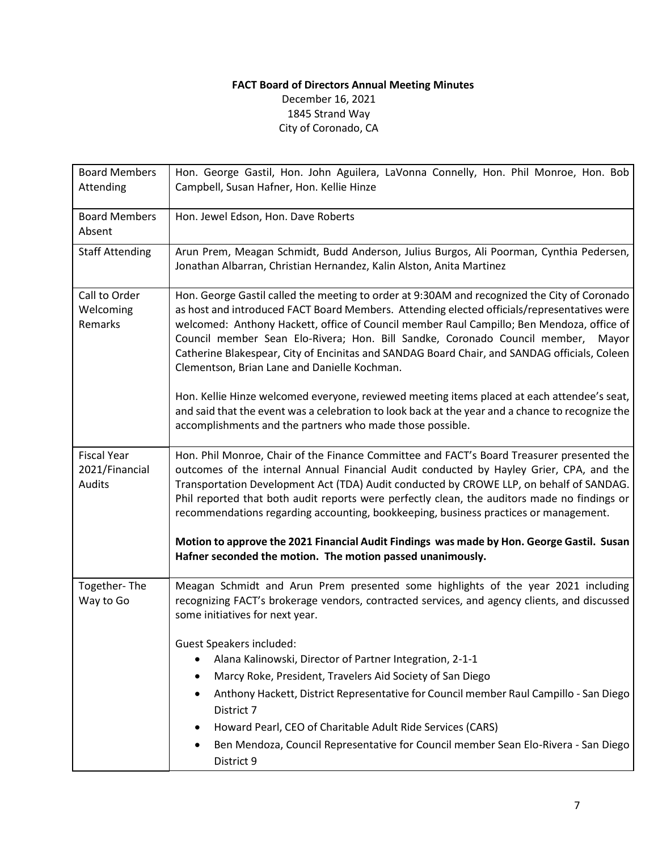# **FACT Board of Directors Annual Meeting Minutes** December 16, 2021

1845 Strand Way City of Coronado, CA

| <b>Board Members</b><br>Attending                     | Hon. George Gastil, Hon. John Aguilera, LaVonna Connelly, Hon. Phil Monroe, Hon. Bob<br>Campbell, Susan Hafner, Hon. Kellie Hinze                                                                                                                                                                                                                                                                                                                                                                                            |
|-------------------------------------------------------|------------------------------------------------------------------------------------------------------------------------------------------------------------------------------------------------------------------------------------------------------------------------------------------------------------------------------------------------------------------------------------------------------------------------------------------------------------------------------------------------------------------------------|
| <b>Board Members</b><br>Absent                        | Hon. Jewel Edson, Hon. Dave Roberts                                                                                                                                                                                                                                                                                                                                                                                                                                                                                          |
| <b>Staff Attending</b>                                | Arun Prem, Meagan Schmidt, Budd Anderson, Julius Burgos, Ali Poorman, Cynthia Pedersen,<br>Jonathan Albarran, Christian Hernandez, Kalin Alston, Anita Martinez                                                                                                                                                                                                                                                                                                                                                              |
| Call to Order<br>Welcoming<br>Remarks                 | Hon. George Gastil called the meeting to order at 9:30AM and recognized the City of Coronado<br>as host and introduced FACT Board Members. Attending elected officials/representatives were<br>welcomed: Anthony Hackett, office of Council member Raul Campillo; Ben Mendoza, office of<br>Council member Sean Elo-Rivera; Hon. Bill Sandke, Coronado Council member, Mayor<br>Catherine Blakespear, City of Encinitas and SANDAG Board Chair, and SANDAG officials, Coleen<br>Clementson, Brian Lane and Danielle Kochman. |
|                                                       | Hon. Kellie Hinze welcomed everyone, reviewed meeting items placed at each attendee's seat,<br>and said that the event was a celebration to look back at the year and a chance to recognize the<br>accomplishments and the partners who made those possible.                                                                                                                                                                                                                                                                 |
| <b>Fiscal Year</b><br>2021/Financial<br><b>Audits</b> | Hon. Phil Monroe, Chair of the Finance Committee and FACT's Board Treasurer presented the<br>outcomes of the internal Annual Financial Audit conducted by Hayley Grier, CPA, and the<br>Transportation Development Act (TDA) Audit conducted by CROWE LLP, on behalf of SANDAG.<br>Phil reported that both audit reports were perfectly clean, the auditors made no findings or<br>recommendations regarding accounting, bookkeeping, business practices or management.                                                      |
|                                                       | Motion to approve the 2021 Financial Audit Findings was made by Hon. George Gastil. Susan<br>Hafner seconded the motion. The motion passed unanimously.                                                                                                                                                                                                                                                                                                                                                                      |
| Together-The<br>Way to Go                             | Meagan Schmidt and Arun Prem presented some highlights of the year 2021 including<br>recognizing FACT's brokerage vendors, contracted services, and agency clients, and discussed<br>some initiatives for next year.                                                                                                                                                                                                                                                                                                         |
|                                                       | <b>Guest Speakers included:</b><br>Alana Kalinowski, Director of Partner Integration, 2-1-1<br>٠                                                                                                                                                                                                                                                                                                                                                                                                                             |
|                                                       | Marcy Roke, President, Travelers Aid Society of San Diego<br>Anthony Hackett, District Representative for Council member Raul Campillo - San Diego<br>District 7                                                                                                                                                                                                                                                                                                                                                             |
|                                                       | Howard Pearl, CEO of Charitable Adult Ride Services (CARS)                                                                                                                                                                                                                                                                                                                                                                                                                                                                   |
|                                                       | Ben Mendoza, Council Representative for Council member Sean Elo-Rivera - San Diego<br>District 9                                                                                                                                                                                                                                                                                                                                                                                                                             |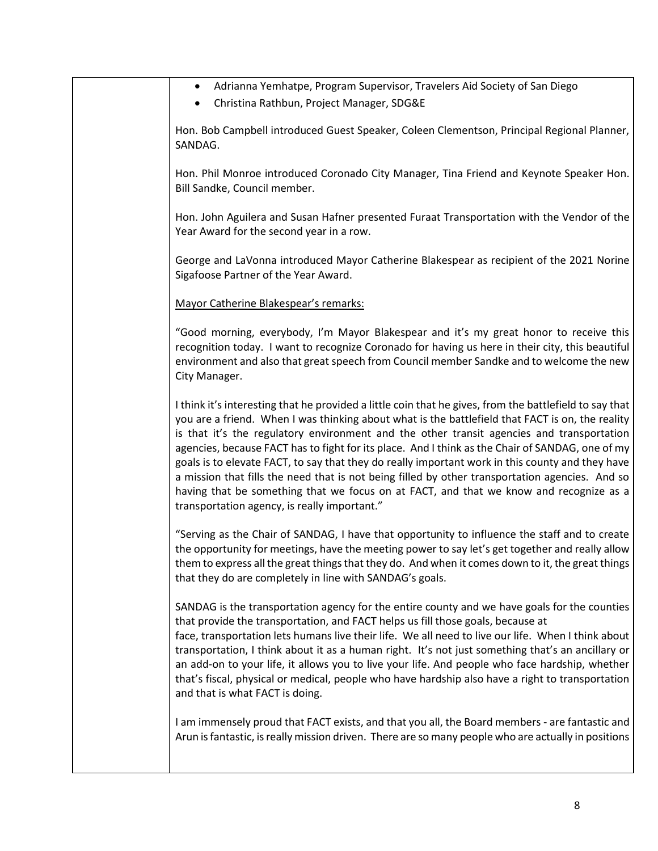| Adrianna Yemhatpe, Program Supervisor, Travelers Aid Society of San Diego<br>٠<br>Christina Rathbun, Project Manager, SDG&E                                                                                                                                                                                                                                                                                                                                                                                                                                                                                                                                                                                                                                   |
|---------------------------------------------------------------------------------------------------------------------------------------------------------------------------------------------------------------------------------------------------------------------------------------------------------------------------------------------------------------------------------------------------------------------------------------------------------------------------------------------------------------------------------------------------------------------------------------------------------------------------------------------------------------------------------------------------------------------------------------------------------------|
| Hon. Bob Campbell introduced Guest Speaker, Coleen Clementson, Principal Regional Planner,<br>SANDAG.                                                                                                                                                                                                                                                                                                                                                                                                                                                                                                                                                                                                                                                         |
| Hon. Phil Monroe introduced Coronado City Manager, Tina Friend and Keynote Speaker Hon.<br>Bill Sandke, Council member.                                                                                                                                                                                                                                                                                                                                                                                                                                                                                                                                                                                                                                       |
| Hon. John Aguilera and Susan Hafner presented Furaat Transportation with the Vendor of the<br>Year Award for the second year in a row.                                                                                                                                                                                                                                                                                                                                                                                                                                                                                                                                                                                                                        |
| George and LaVonna introduced Mayor Catherine Blakespear as recipient of the 2021 Norine<br>Sigafoose Partner of the Year Award.                                                                                                                                                                                                                                                                                                                                                                                                                                                                                                                                                                                                                              |
| Mayor Catherine Blakespear's remarks:                                                                                                                                                                                                                                                                                                                                                                                                                                                                                                                                                                                                                                                                                                                         |
| "Good morning, everybody, I'm Mayor Blakespear and it's my great honor to receive this<br>recognition today. I want to recognize Coronado for having us here in their city, this beautiful<br>environment and also that great speech from Council member Sandke and to welcome the new<br>City Manager.                                                                                                                                                                                                                                                                                                                                                                                                                                                       |
| I think it's interesting that he provided a little coin that he gives, from the battlefield to say that<br>you are a friend. When I was thinking about what is the battlefield that FACT is on, the reality<br>is that it's the regulatory environment and the other transit agencies and transportation<br>agencies, because FACT has to fight for its place. And I think as the Chair of SANDAG, one of my<br>goals is to elevate FACT, to say that they do really important work in this county and they have<br>a mission that fills the need that is not being filled by other transportation agencies. And so<br>having that be something that we focus on at FACT, and that we know and recognize as a<br>transportation agency, is really important." |
| "Serving as the Chair of SANDAG, I have that opportunity to influence the staff and to create<br>the opportunity for meetings, have the meeting power to say let's get together and really allow<br>them to express all the great things that they do. And when it comes down to it, the great things<br>that they do are completely in line with SANDAG's goals.                                                                                                                                                                                                                                                                                                                                                                                             |
| SANDAG is the transportation agency for the entire county and we have goals for the counties<br>that provide the transportation, and FACT helps us fill those goals, because at<br>face, transportation lets humans live their life. We all need to live our life. When I think about<br>transportation, I think about it as a human right. It's not just something that's an ancillary or<br>an add-on to your life, it allows you to live your life. And people who face hardship, whether<br>that's fiscal, physical or medical, people who have hardship also have a right to transportation<br>and that is what FACT is doing.                                                                                                                           |
| I am immensely proud that FACT exists, and that you all, the Board members - are fantastic and<br>Arun is fantastic, is really mission driven. There are so many people who are actually in positions                                                                                                                                                                                                                                                                                                                                                                                                                                                                                                                                                         |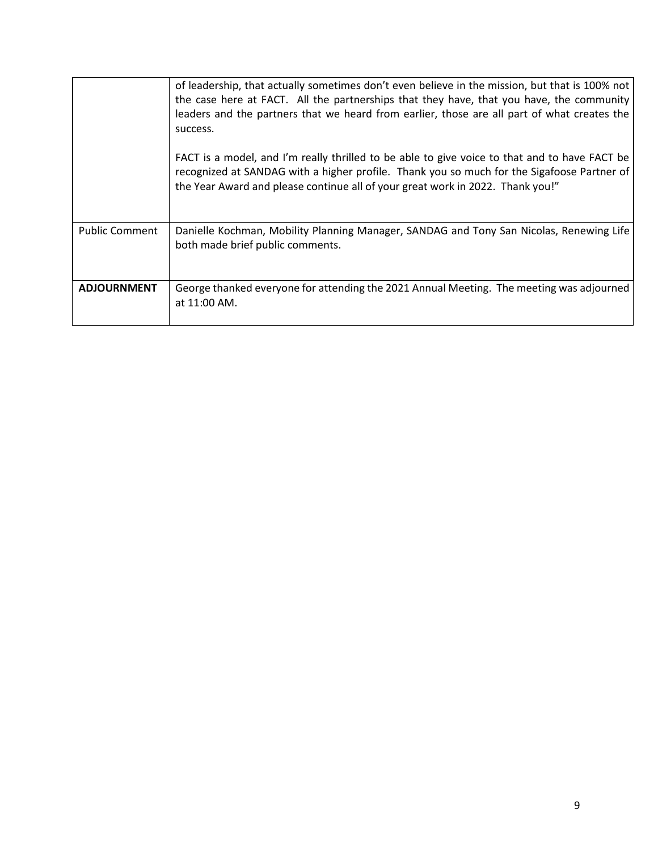|                       | of leadership, that actually sometimes don't even believe in the mission, but that is 100% not<br>the case here at FACT. All the partnerships that they have, that you have, the community<br>leaders and the partners that we heard from earlier, those are all part of what creates the<br>success. |
|-----------------------|-------------------------------------------------------------------------------------------------------------------------------------------------------------------------------------------------------------------------------------------------------------------------------------------------------|
|                       | FACT is a model, and I'm really thrilled to be able to give voice to that and to have FACT be<br>recognized at SANDAG with a higher profile. Thank you so much for the Sigafoose Partner of<br>the Year Award and please continue all of your great work in 2022. Thank you!"                         |
| <b>Public Comment</b> | Danielle Kochman, Mobility Planning Manager, SANDAG and Tony San Nicolas, Renewing Life<br>both made brief public comments.                                                                                                                                                                           |
| <b>ADJOURNMENT</b>    | George thanked everyone for attending the 2021 Annual Meeting. The meeting was adjourned<br>at 11:00 AM.                                                                                                                                                                                              |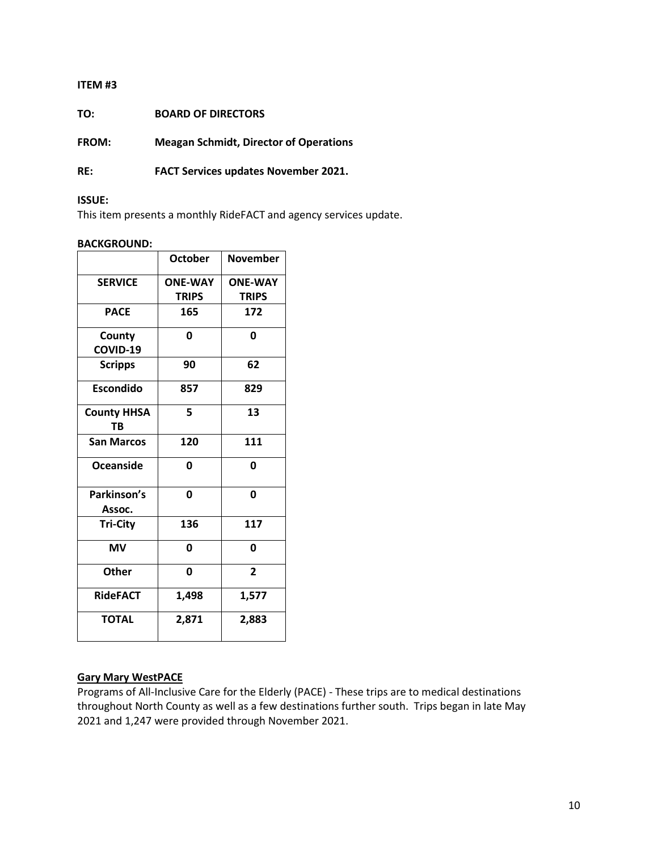| TO: | <b>BOARD OF DIRECTORS</b> |
|-----|---------------------------|
|     |                           |

**FROM: Meagan Schmidt, Director of Operations**

**RE: FACT Services updates November 2021.**

#### **ISSUE:**

This item presents a monthly RideFACT and agency services update.

#### **BACKGROUND:**

|                                 | <b>October</b> | November       |
|---------------------------------|----------------|----------------|
| <b>SERVICE</b>                  | <b>ONE-WAY</b> | <b>ONE-WAY</b> |
|                                 | <b>TRIPS</b>   | <b>TRIPS</b>   |
| <b>PACE</b>                     | 165            | 172            |
| County                          | 0              | 0              |
| COVID-19                        |                |                |
| <b>Scripps</b>                  | 90             | 62             |
| <b>Escondido</b>                | 857            | 829            |
| <b>County HHSA</b><br><b>TB</b> | 5              | 13             |
| <b>San Marcos</b>               | 120            | 111            |
| Oceanside                       | O              | 0              |
| Parkinson's<br>Assoc.           | 0              | 0              |
| <b>Tri-City</b>                 | 136            | 117            |
| <b>MV</b>                       | 0              | 0              |
| <b>Other</b>                    | 0              | $\overline{2}$ |
| <b>RideFACT</b>                 | 1,498          | 1,577          |
| <b>TOTAL</b>                    | 2,871          | 2,883          |

#### **Gary Mary WestPACE**

Programs of All-Inclusive Care for the Elderly (PACE) - These trips are to medical destinations throughout North County as well as a few destinations further south. Trips began in late May 2021 and 1,247 were provided through November 2021.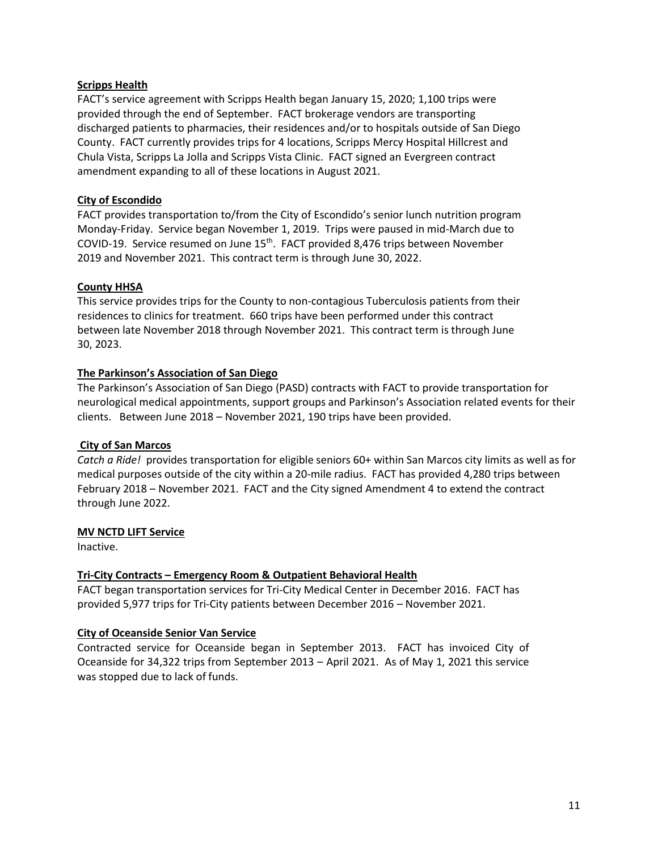#### **Scripps Health**

FACT's service agreement with Scripps Health began January 15, 2020; 1,100 trips were provided through the end of September. FACT brokerage vendors are transporting discharged patients to pharmacies, their residences and/or to hospitals outside of San Diego County. FACT currently provides trips for 4 locations, Scripps Mercy Hospital Hillcrest and Chula Vista, Scripps La Jolla and Scripps Vista Clinic. FACT signed an Evergreen contract amendment expanding to all of these locations in August 2021.

## **City of Escondido**

FACT provides transportation to/from the City of Escondido's senior lunch nutrition program Monday-Friday. Service began November 1, 2019. Trips were paused in mid-March due to COVID-19. Service resumed on June 15<sup>th</sup>. FACT provided 8,476 trips between November 2019 and November 2021. This contract term is through June 30, 2022.

## **County HHSA**

This service provides trips for the County to non-contagious Tuberculosis patients from their residences to clinics for treatment. 660 trips have been performed under this contract between late November 2018 through November 2021. This contract term is through June 30, 2023.

## **The Parkinson's Association of San Diego**

The Parkinson's Association of San Diego (PASD) contracts with FACT to provide transportation for neurological medical appointments, support groups and Parkinson's Association related events for their clients. Between June 2018 – November 2021, 190 trips have been provided.

#### **City of San Marcos**

*Catch a Ride!* provides transportation for eligible seniors 60+ within San Marcos city limits as well as for medical purposes outside of the city within a 20-mile radius. FACT has provided 4,280 trips between February 2018 – November 2021. FACT and the City signed Amendment 4 to extend the contract through June 2022.

#### **MV NCTD LIFT Service**

Inactive.

#### **Tri-City Contracts – Emergency Room & Outpatient Behavioral Health**

FACT began transportation services for Tri-City Medical Center in December 2016. FACT has provided 5,977 trips for Tri-City patients between December 2016 – November 2021.

#### **City of Oceanside Senior Van Service**

Contracted service for Oceanside began in September 2013. FACT has invoiced City of Oceanside for 34,322 trips from September 2013 – April 2021. As of May 1, 2021 this service was stopped due to lack of funds.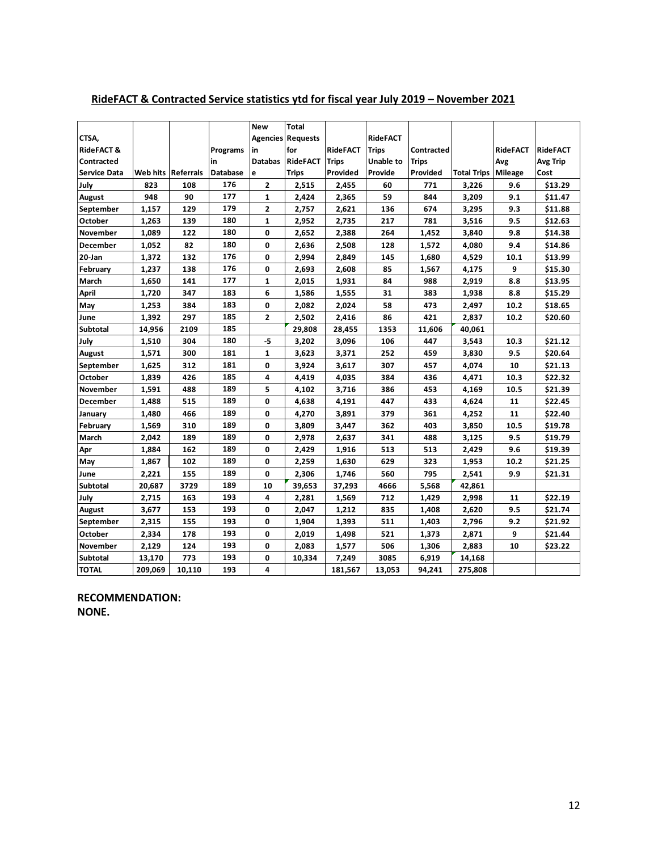|                       |                      |        |                 | <b>New</b>     | <b>Total</b>             |                 |                 |              |                    |                 |                 |
|-----------------------|----------------------|--------|-----------------|----------------|--------------------------|-----------------|-----------------|--------------|--------------------|-----------------|-----------------|
| CTSA,                 |                      |        |                 |                | <b>Agencies Requests</b> |                 | <b>RideFACT</b> |              |                    |                 |                 |
| <b>RideFACT &amp;</b> |                      |        | <b>Programs</b> | in             | for                      | <b>RideFACT</b> | <b>Trips</b>    | Contracted   |                    | <b>RideFACT</b> | <b>RideFACT</b> |
| Contracted            |                      |        | in              | <b>Databas</b> | <b>RideFACT</b>          | <b>Trips</b>    | Unable to       | <b>Trips</b> |                    | Avg             | <b>Avg Trip</b> |
| <b>Service Data</b>   | Web hits   Referrals |        | <b>Database</b> | e              | <b>Trips</b>             | Provided        | Provide         | Provided     | <b>Total Trips</b> | Mileage         | Cost            |
| July                  | 823                  | 108    | 176             | $\mathbf{2}$   | 2,515                    | 2,455           | 60              | 771          | 3,226              | 9.6             | \$13.29         |
| <b>August</b>         | 948                  | 90     | 177             | $\mathbf{1}$   | 2,424                    | 2,365           | 59              | 844          | 3,209              | 9.1             | \$11.47         |
| September             | 1,157                | 129    | 179             | 2              | 2,757                    | 2,621           | 136             | 674          | 3,295              | 9.3             | \$11.88         |
| October               | 1,263                | 139    | 180             | 1              | 2,952                    | 2,735           | 217             | 781          | 3,516              | 9.5             | \$12.63         |
| <b>November</b>       | 1,089                | 122    | 180             | 0              | 2,652                    | 2,388           | 264             | 1,452        | 3,840              | 9.8             | \$14.38         |
| <b>December</b>       | 1,052                | 82     | 180             | 0              | 2,636                    | 2,508           | 128             | 1,572        | 4,080              | 9.4             | \$14.86         |
| 20-Jan                | 1,372                | 132    | 176             | 0              | 2,994                    | 2,849           | 145             | 1,680        | 4,529              | 10.1            | \$13.99         |
| February              | 1,237                | 138    | 176             | 0              | 2,693                    | 2,608           | 85              | 1,567        | 4,175              | 9               | \$15.30         |
| March                 | 1,650                | 141    | 177             | 1              | 2,015                    | 1,931           | 84              | 988          | 2,919              | 8.8             | \$13.95         |
| <b>April</b>          | 1,720                | 347    | 183             | 6              | 1,586                    | 1,555           | 31              | 383          | 1,938              | 8.8             | \$15.29         |
| May                   | 1,253                | 384    | 183             | 0              | 2,082                    | 2,024           | 58              | 473          | 2,497              | 10.2            | \$18.65         |
| June                  | 1,392                | 297    | 185             | $\mathbf{z}$   | 2,502                    | 2,416           | 86              | 421          | 2,837              | 10.2            | \$20.60         |
| <b>Subtotal</b>       | 14,956               | 2109   | 185             |                | 29,808                   | 28,455          | 1353            | 11,606       | 40,061             |                 |                 |
| July                  | 1,510                | 304    | 180             | $-5$           | 3,202                    | 3,096           | 106             | 447          | 3,543              | 10.3            | \$21.12         |
| August                | 1,571                | 300    | 181             | 1              | 3,623                    | 3,371           | 252             | 459          | 3,830              | 9.5             | \$20.64         |
| September             | 1,625                | 312    | 181             | 0              | 3,924                    | 3,617           | 307             | 457          | 4,074              | 10              | \$21.13         |
| October               | 1,839                | 426    | 185             | 4              | 4,419                    | 4,035           | 384             | 436          | 4,471              | 10.3            | \$22.32         |
| <b>November</b>       | 1,591                | 488    | 189             | 5              | 4,102                    | 3,716           | 386             | 453          | 4,169              | 10.5            | \$21.39         |
| <b>December</b>       | 1,488                | 515    | 189             | 0              | 4,638                    | 4,191           | 447             | 433          | 4,624              | 11              | \$22.45         |
| January               | 1,480                | 466    | 189             | 0              | 4,270                    | 3,891           | 379             | 361          | 4,252              | 11              | \$22.40         |
| February              | 1,569                | 310    | 189             | 0              | 3,809                    | 3,447           | 362             | 403          | 3,850              | 10.5            | \$19.78         |
| March                 | 2,042                | 189    | 189             | 0              | 2,978                    | 2,637           | 341             | 488          | 3,125              | 9.5             | \$19.79         |
| Apr                   | 1,884                | 162    | 189             | 0              | 2,429                    | 1,916           | 513             | 513          | 2,429              | 9.6             | \$19.39         |
| May                   | 1,867                | 102    | 189             | 0              | 2,259                    | 1,630           | 629             | 323          | 1,953              | 10.2            | \$21.25         |
| June                  | 2,221                | 155    | 189             | 0              | 2,306                    | 1,746           | 560             | 795          | 2,541              | 9.9             | \$21.31         |
| Subtotal              | 20,687               | 3729   | 189             | 10             | 39,653                   | 37,293          | 4666            | 5,568        | 42,861             |                 |                 |
| July                  | 2,715                | 163    | 193             | 4              | 2,281                    | 1,569           | 712             | 1,429        | 2,998              | 11              | \$22.19         |
| <b>August</b>         | 3,677                | 153    | 193             | 0              | 2,047                    | 1,212           | 835             | 1,408        | 2,620              | 9.5             | \$21.74         |
| September             | 2,315                | 155    | 193             | 0              | 1,904                    | 1,393           | 511             | 1,403        | 2,796              | 9.2             | \$21.92         |
| October               | 2,334                | 178    | 193             | 0              | 2,019                    | 1,498           | 521             | 1,373        | 2,871              | 9               | \$21.44         |
| <b>November</b>       | 2,129                | 124    | 193             | 0              | 2,083                    | 1,577           | 506             | 1,306        | 2,883              | 10              | \$23.22         |
| Subtotal              | 13,170               | 773    | 193             | 0              | 10,334                   | 7,249           | 3085            | 6,919        | 14,168             |                 |                 |
| <b>TOTAL</b>          | 209,069              | 10,110 | 193             | 4              |                          | 181,567         | 13,053          | 94,241       | 275,808            |                 |                 |

## **RideFACT & Contracted Service statistics ytd for fiscal year July 2019 – November 2021**

**RECOMMENDATION: NONE.**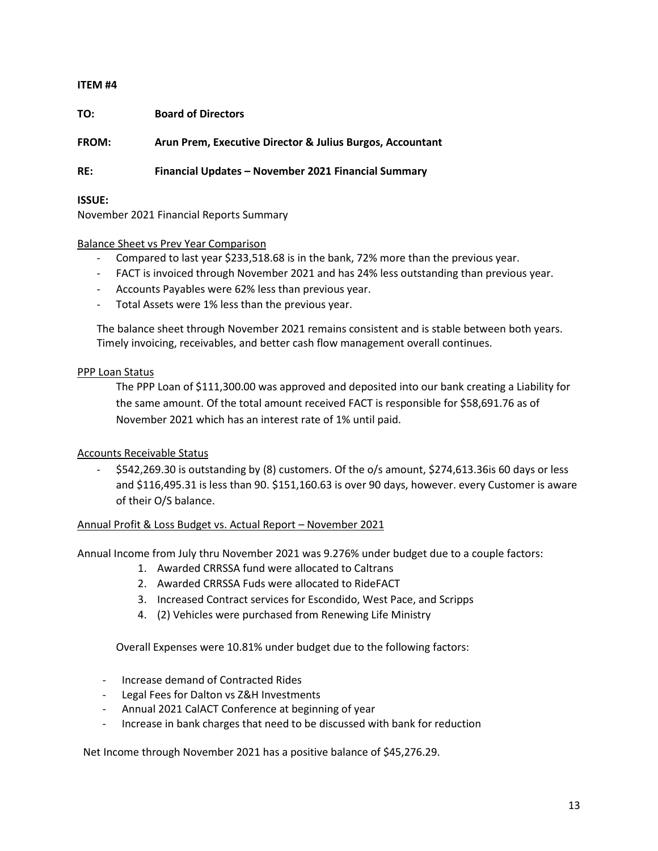**TO: Board of Directors**

**FROM: Arun Prem, Executive Director & Julius Burgos, Accountant**

**RE: Financial Updates – November 2021 Financial Summary** 

**ISSUE:**

November 2021 Financial Reports Summary

#### Balance Sheet vs Prev Year Comparison

- Compared to last year \$233,518.68 is in the bank, 72% more than the previous year.
- FACT is invoiced through November 2021 and has 24% less outstanding than previous year.
- Accounts Payables were 62% less than previous year.
- Total Assets were 1% less than the previous year.

The balance sheet through November 2021 remains consistent and is stable between both years. Timely invoicing, receivables, and better cash flow management overall continues.

#### PPP Loan Status

The PPP Loan of \$111,300.00 was approved and deposited into our bank creating a Liability for the same amount. Of the total amount received FACT is responsible for \$58,691.76 as of November 2021 which has an interest rate of 1% until paid.

#### Accounts Receivable Status

- \$542,269.30 is outstanding by (8) customers. Of the o/s amount, \$274,613.36is 60 days or less and \$116,495.31 is less than 90. \$151,160.63 is over 90 days, however. every Customer is aware of their O/S balance.

#### Annual Profit & Loss Budget vs. Actual Report – November 2021

Annual Income from July thru November 2021 was 9.276% under budget due to a couple factors:

- 1. Awarded CRRSSA fund were allocated to Caltrans
- 2. Awarded CRRSSA Fuds were allocated to RideFACT
- 3. Increased Contract services for Escondido, West Pace, and Scripps
- 4. (2) Vehicles were purchased from Renewing Life Ministry

Overall Expenses were 10.81% under budget due to the following factors:

- Increase demand of Contracted Rides
- Legal Fees for Dalton vs Z&H Investments
- Annual 2021 CalACT Conference at beginning of year
- Increase in bank charges that need to be discussed with bank for reduction

Net Income through November 2021 has a positive balance of \$45,276.29.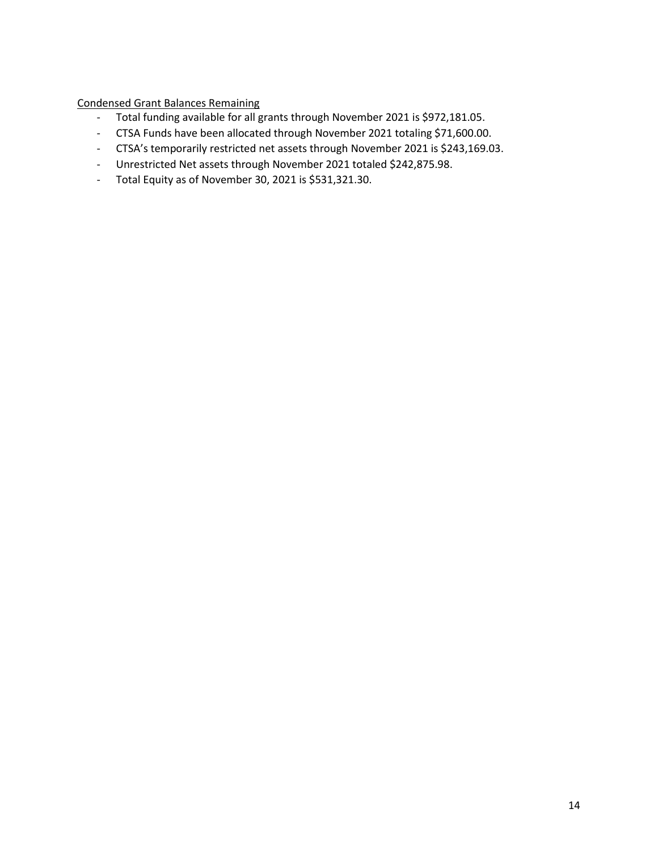Condensed Grant Balances Remaining

- Total funding available for all grants through November 2021 is \$972,181.05.
- CTSA Funds have been allocated through November 2021 totaling \$71,600.00.
- CTSA's temporarily restricted net assets through November 2021 is \$243,169.03.
- Unrestricted Net assets through November 2021 totaled \$242,875.98.
- Total Equity as of November 30, 2021 is \$531,321.30.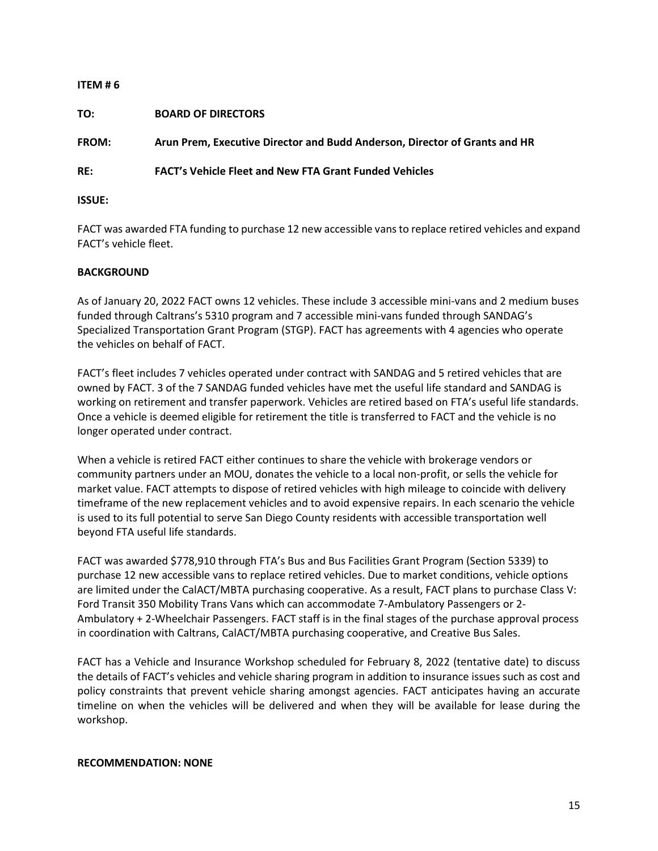| ITEM # $6$    |                                                                            |
|---------------|----------------------------------------------------------------------------|
| TO:           | <b>BOARD OF DIRECTORS</b>                                                  |
| <b>FROM:</b>  | Arun Prem, Executive Director and Budd Anderson, Director of Grants and HR |
| RE:           | <b>FACT's Vehicle Fleet and New FTA Grant Funded Vehicles</b>              |
| <b>ISSUE:</b> |                                                                            |

FACT was awarded FTA funding to purchase 12 new accessible vans to replace retired vehicles and expand FACT's vehicle fleet.

## **BACKGROUND**

As of January 20, 2022 FACT owns 12 vehicles. These include 3 accessible mini-vans and 2 medium buses funded through Caltrans's 5310 program and 7 accessible mini-vans funded through SANDAG's Specialized Transportation Grant Program (STGP). FACT has agreements with 4 agencies who operate the vehicles on behalf of FACT.

FACT's fleet includes 7 vehicles operated under contract with SANDAG and 5 retired vehicles that are owned by FACT. 3 of the 7 SANDAG funded vehicles have met the useful life standard and SANDAG is working on retirement and transfer paperwork. Vehicles are retired based on FTA's useful life standards. Once a vehicle is deemed eligible for retirement the title is transferred to FACT and the vehicle is no longer operated under contract.

When a vehicle is retired FACT either continues to share the vehicle with brokerage vendors or community partners under an MOU, donates the vehicle to a local non-profit, or sells the vehicle for market value. FACT attempts to dispose of retired vehicles with high mileage to coincide with delivery timeframe of the new replacement vehicles and to avoid expensive repairs. In each scenario the vehicle is used to its full potential to serve San Diego County residents with accessible transportation well beyond FTA useful life standards.

FACT was awarded \$778,910 through FTA's Bus and Bus Facilities Grant Program (Section 5339) to purchase 12 new accessible vans to replace retired vehicles. Due to market conditions, vehicle options are limited under the CalACT/MBTA purchasing cooperative. As a result, FACT plans to purchase Class V: Ford Transit 350 Mobility Trans Vans which can accommodate 7-Ambulatory Passengers or 2- Ambulatory + 2-Wheelchair Passengers. FACT staff is in the final stages of the purchase approval process in coordination with Caltrans, CalACT/MBTA purchasing cooperative, and Creative Bus Sales.

FACT has a Vehicle and Insurance Workshop scheduled for February 8, 2022 (tentative date) to discuss the details of FACT's vehicles and vehicle sharing program in addition to insurance issues such as cost and policy constraints that prevent vehicle sharing amongst agencies. FACT anticipates having an accurate timeline on when the vehicles will be delivered and when they will be available for lease during the workshop.

#### **RECOMMENDATION: NONE**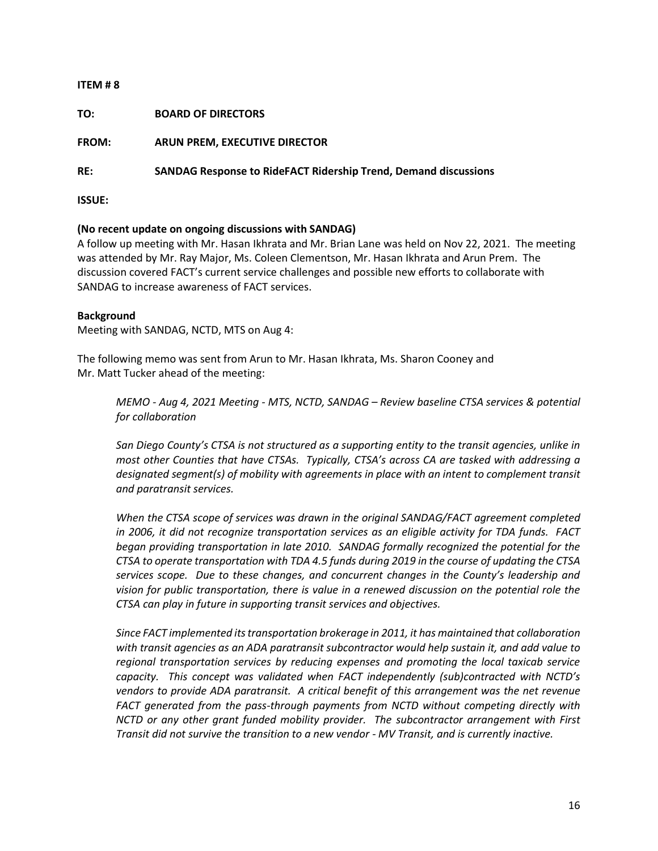**TO: BOARD OF DIRECTORS**

**FROM: ARUN PREM, EXECUTIVE DIRECTOR** 

**RE: SANDAG Response to RideFACT Ridership Trend, Demand discussions**

**ISSUE:**

## **(No recent update on ongoing discussions with SANDAG)**

A follow up meeting with Mr. Hasan Ikhrata and Mr. Brian Lane was held on Nov 22, 2021. The meeting was attended by Mr. Ray Major, Ms. Coleen Clementson, Mr. Hasan Ikhrata and Arun Prem. The discussion covered FACT's current service challenges and possible new efforts to collaborate with SANDAG to increase awareness of FACT services.

#### **Background**

Meeting with SANDAG, NCTD, MTS on Aug 4:

The following memo was sent from Arun to Mr. Hasan Ikhrata, Ms. Sharon Cooney and Mr. Matt Tucker ahead of the meeting:

*MEMO - Aug 4, 2021 Meeting - MTS, NCTD, SANDAG – Review baseline CTSA services & potential for collaboration* 

*San Diego County's CTSA is not structured as a supporting entity to the transit agencies, unlike in most other Counties that have CTSAs. Typically, CTSA's across CA are tasked with addressing a designated segment(s) of mobility with agreements in place with an intent to complement transit and paratransit services.*

*When the CTSA scope of services was drawn in the original SANDAG/FACT agreement completed in 2006, it did not recognize transportation services as an eligible activity for TDA funds. FACT began providing transportation in late 2010. SANDAG formally recognized the potential for the CTSA to operate transportation with TDA 4.5 funds during 2019 in the course of updating the CTSA services scope. Due to these changes, and concurrent changes in the County's leadership and vision for public transportation, there is value in a renewed discussion on the potential role the CTSA can play in future in supporting transit services and objectives.* 

*Since FACT implemented its transportation brokerage in 2011, it has maintained that collaboration with transit agencies as an ADA paratransit subcontractor would help sustain it, and add value to regional transportation services by reducing expenses and promoting the local taxicab service capacity. This concept was validated when FACT independently (sub)contracted with NCTD's vendors to provide ADA paratransit. A critical benefit of this arrangement was the net revenue FACT generated from the pass-through payments from NCTD without competing directly with NCTD or any other grant funded mobility provider. The subcontractor arrangement with First Transit did not survive the transition to a new vendor - MV Transit, and is currently inactive.*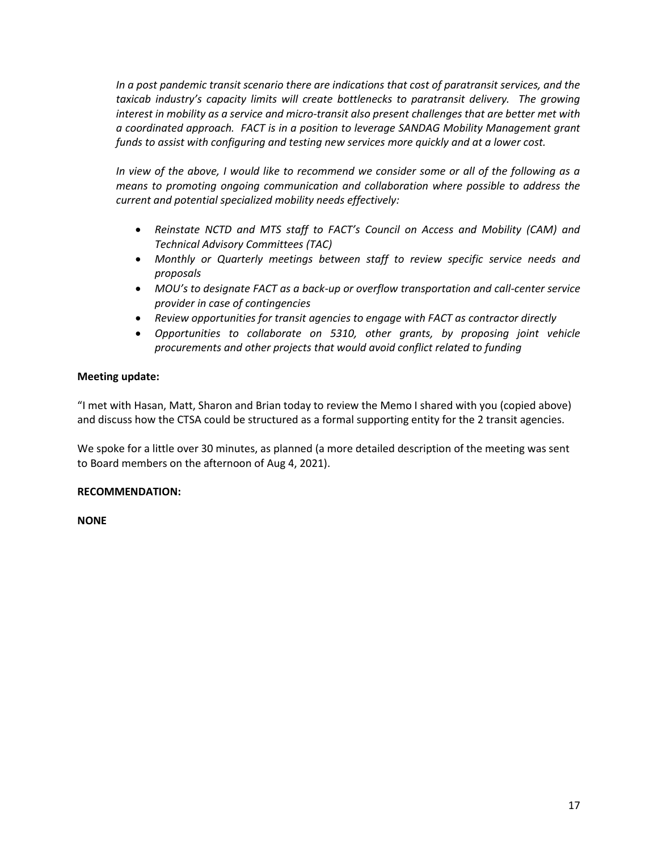*In a post pandemic transit scenario there are indications that cost of paratransit services, and the*  taxicab industry's capacity limits will create bottlenecks to paratransit delivery. The growing *interest in mobility as a service and micro-transit also present challenges that are better met with a coordinated approach. FACT is in a position to leverage SANDAG Mobility Management grant funds to assist with configuring and testing new services more quickly and at a lower cost.*

*In view of the above, I would like to recommend we consider some or all of the following as a means to promoting ongoing communication and collaboration where possible to address the current and potential specialized mobility needs effectively:*

- *Reinstate NCTD and MTS staff to FACT's Council on Access and Mobility (CAM) and Technical Advisory Committees (TAC)*
- *Monthly or Quarterly meetings between staff to review specific service needs and proposals*
- *MOU's to designate FACT as a back-up or overflow transportation and call-center service provider in case of contingencies*
- *Review opportunities for transit agencies to engage with FACT as contractor directly*
- *Opportunities to collaborate on 5310, other grants, by proposing joint vehicle procurements and other projects that would avoid conflict related to funding*

## **Meeting update:**

"I met with Hasan, Matt, Sharon and Brian today to review the Memo I shared with you (copied above) and discuss how the CTSA could be structured as a formal supporting entity for the 2 transit agencies.

We spoke for a little over 30 minutes, as planned (a more detailed description of the meeting was sent to Board members on the afternoon of Aug 4, 2021).

#### **RECOMMENDATION:**

**NONE**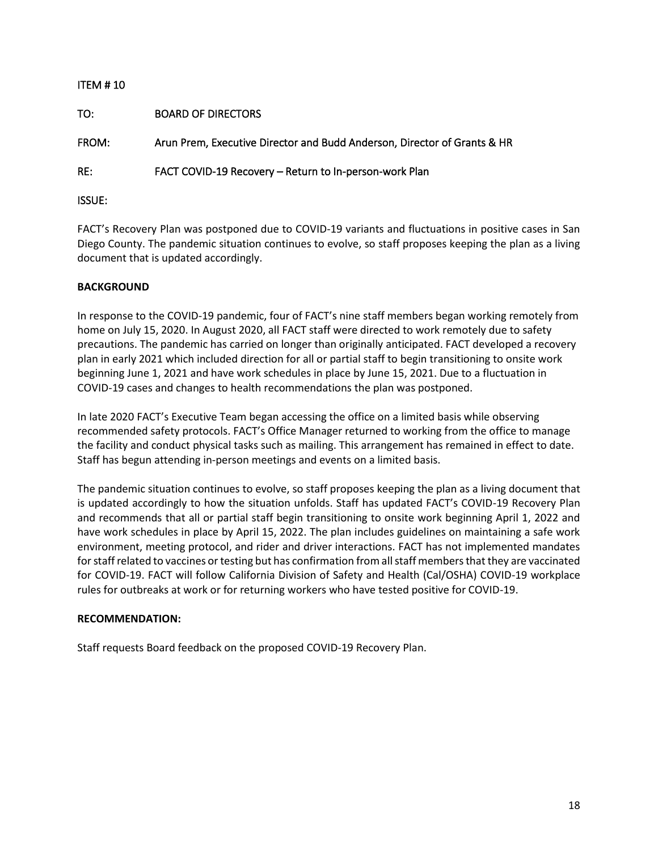| <b>ITEM #10</b> |                                                                          |
|-----------------|--------------------------------------------------------------------------|
| TO:             | <b>BOARD OF DIRECTORS</b>                                                |
| FROM:           | Arun Prem, Executive Director and Budd Anderson, Director of Grants & HR |
| RE:             | FACT COVID-19 Recovery - Return to In-person-work Plan                   |
| <b>ISSUE:</b>   |                                                                          |

FACT's Recovery Plan was postponed due to COVID-19 variants and fluctuations in positive cases in San Diego County. The pandemic situation continues to evolve, so staff proposes keeping the plan as a living document that is updated accordingly.

## **BACKGROUND**

In response to the COVID-19 pandemic, four of FACT's nine staff members began working remotely from home on July 15, 2020. In August 2020, all FACT staff were directed to work remotely due to safety precautions. The pandemic has carried on longer than originally anticipated. FACT developed a recovery plan in early 2021 which included direction for all or partial staff to begin transitioning to onsite work beginning June 1, 2021 and have work schedules in place by June 15, 2021. Due to a fluctuation in COVID-19 cases and changes to health recommendations the plan was postponed.

In late 2020 FACT's Executive Team began accessing the office on a limited basis while observing recommended safety protocols. FACT's Office Manager returned to working from the office to manage the facility and conduct physical tasks such as mailing. This arrangement has remained in effect to date. Staff has begun attending in-person meetings and events on a limited basis.

The pandemic situation continues to evolve, so staff proposes keeping the plan as a living document that is updated accordingly to how the situation unfolds. Staff has updated FACT's COVID-19 Recovery Plan and recommends that all or partial staff begin transitioning to onsite work beginning April 1, 2022 and have work schedules in place by April 15, 2022. The plan includes guidelines on maintaining a safe work environment, meeting protocol, and rider and driver interactions. FACT has not implemented mandates for staff related to vaccines or testing but has confirmation from all staff members that they are vaccinated for COVID-19. FACT will follow California Division of Safety and Health (Cal/OSHA) COVID-19 workplace rules for outbreaks at work or for returning workers who have tested positive for COVID-19.

## **RECOMMENDATION:**

Staff requests Board feedback on the proposed COVID-19 Recovery Plan.